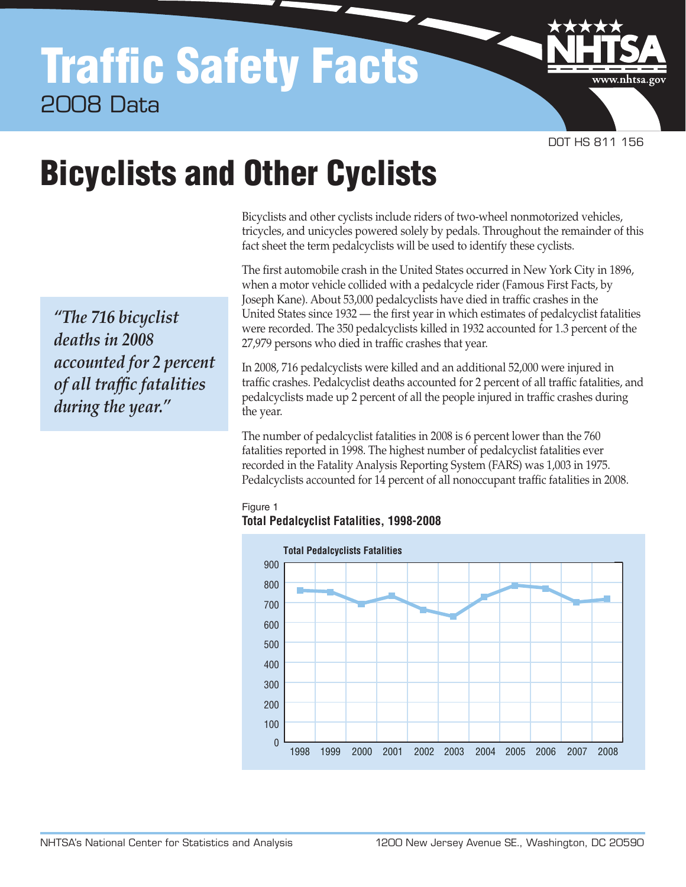# Traffic Safety Facts 2008 Data

DOT HS 811 156

www.nhtsa.gc

# Bicyclists and Other Cyclists

Bicyclists and other cyclists include riders of two-wheel nonmotorized vehicles, tricycles, and unicycles powered solely by pedals. Throughout the remainder of this fact sheet the term pedalcyclists will be used to identify these cyclists.

The first automobile crash in the United States occurred in New York City in 1896, when a motor vehicle collided with a pedalcycle rider (Famous First Facts, by Joseph Kane). About 53,000 pedalcyclists have died in traffic crashes in the United States since 1932 — the first year in which estimates of pedalcyclist fatalities were recorded. The 350 pedalcyclists killed in 1932 accounted for 1.3 percent of the 27,979 persons who died in traffic crashes that year.

In 2008, 716 pedalcyclists were killed and an additional 52,000 were injured in traffic crashes. Pedalcyclist deaths accounted for 2 percent of all traffic fatalities, and pedalcyclists made up 2 percent of all the people injured in traffic crashes during the year.

The number of pedalcyclist fatalities in 2008 is 6 percent lower than the 760 fatalities reported in 1998. The highest number of pedalcyclist fatalities ever recorded in the Fatality Analysis Reporting System (FARS) was 1,003 in 1975. Pedalcyclists accounted for 14 percent of all nonoccupant traffic fatalities in 2008.





*"The 716 bicyclist deaths in 2008 accounted for 2 percent of all traffic fatalities during the year."*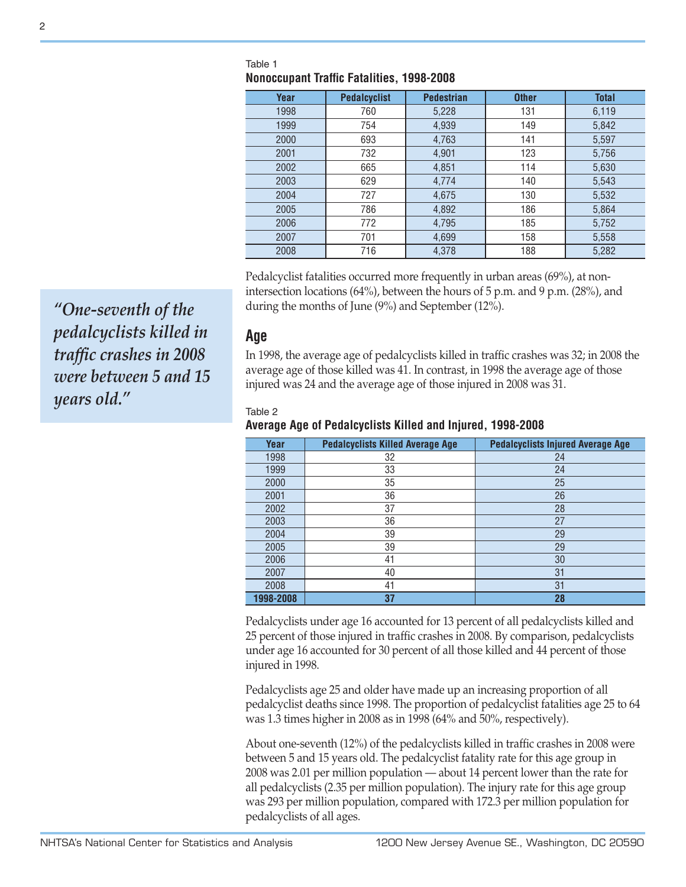| Year | <b>Pedalcyclist</b> | <b>Pedestrian</b> | <b>Other</b> | <b>Total</b> |  |  |  |
|------|---------------------|-------------------|--------------|--------------|--|--|--|
| 1998 | 760                 | 5,228             | 131          | 6,119        |  |  |  |
| 1999 | 754                 | 4,939             | 149          | 5,842        |  |  |  |
| 2000 | 693                 | 4,763             | 141          | 5,597        |  |  |  |
| 2001 | 732                 | 4,901             | 123          | 5,756        |  |  |  |
| 2002 | 665                 | 4,851             | 114          | 5,630        |  |  |  |
| 2003 | 629                 | 4,774             | 140          | 5,543        |  |  |  |
| 2004 | 727                 | 4,675             | 130          | 5,532        |  |  |  |
| 2005 | 786                 | 4,892             | 186          | 5,864        |  |  |  |
| 2006 | 772                 | 4,795             | 185          | 5,752        |  |  |  |
| 2007 | 701                 | 4,699             | 158          | 5,558        |  |  |  |
| 2008 | 716                 | 4,378             | 188          | 5,282        |  |  |  |

#### Table 1 **Nonoccupant Traffic Fatalities, 1998-2008**

Pedalcyclist fatalities occurred more frequently in urban areas (69%), at nonintersection locations (64%), between the hours of 5 p.m. and 9 p.m. (28%), and during the months of June (9%) and September (12%).

**Age** 

In 1998, the average age of pedalcyclists killed in traffic crashes was 32; in 2008 the average age of those killed was 41. In contrast, in 1998 the average age of those injured was 24 and the average age of those injured in 2008 was 31.

#### Table 2

#### **Average Age of Pedalcyclists Killed and Injured, 1998-2008**

| Year      | <b>Pedalcyclists Killed Average Age</b> | <b>Pedalcyclists Injured Average Age</b> |  |
|-----------|-----------------------------------------|------------------------------------------|--|
| 1998      | 32                                      | 24                                       |  |
| 1999      | 33                                      | 24                                       |  |
| 2000      | 35                                      | 25                                       |  |
| 2001      | 36                                      | 26                                       |  |
| 2002      | 37                                      | 28                                       |  |
| 2003      | 36                                      | 27                                       |  |
| 2004      | 39                                      | 29                                       |  |
| 2005      | 39                                      | 29                                       |  |
| 2006      | 41                                      | 30                                       |  |
| 2007      | 40                                      | 31                                       |  |
| 2008      | 41                                      | 31                                       |  |
| 1998-2008 | 37                                      | 28                                       |  |

Pedalcyclists under age 16 accounted for 13 percent of all pedalcyclists killed and 25 percent of those injured in traffic crashes in 2008. By comparison, pedalcyclists under age 16 accounted for 30 percent of all those killed and 44 percent of those injured in 1998.

Pedalcyclists age 25 and older have made up an increasing proportion of all pedalcyclist deaths since 1998. The proportion of pedalcyclist fatalities age 25 to 64 was 1.3 times higher in 2008 as in 1998 (64% and 50%, respectively).

About one-seventh (12%) of the pedalcyclists killed in traffic crashes in 2008 were between 5 and 15 years old. The pedalcyclist fatality rate for this age group in 2008 was 2.01 per million population — about 14 percent lower than the rate for all pedalcyclists (2.35 per million population). The injury rate for this age group was 293 per million population, compared with 172.3 per million population for pedalcyclists of all ages.

*"One-seventh of the pedalcyclists killed in traffic crashes in 2008 were between 5 and 15 years old."*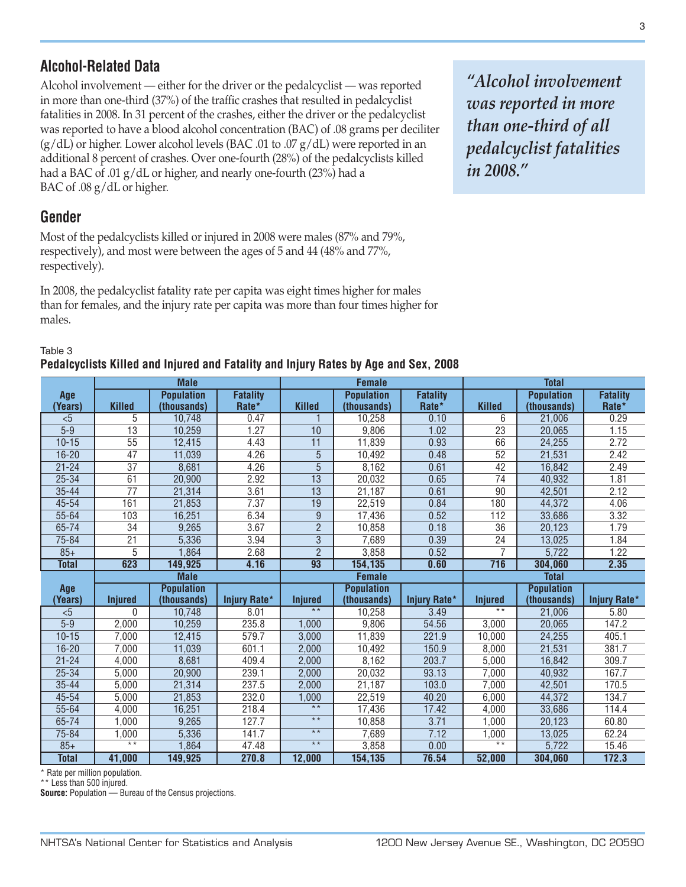## **Alcohol-Related Data**

Alcohol involvement — either for the driver or the pedalcyclist — was reported in more than one-third (37%) of the traffic crashes that resulted in pedalcyclist fatalities in 2008. In 31 percent of the crashes, either the driver or the pedalcyclist was reported to have a blood alcohol concentration (BAC) of .08 grams per deciliter  $(g/dL)$  or higher. Lower alcohol levels (BAC .01 to .07  $g/dL$ ) were reported in an additional 8 percent of crashes. Over one-fourth (28%) of the pedalcyclists killed had a BAC of .01 g/dL or higher, and nearly one-fourth (23%) had a BAC of .08 g/dL or higher.

## **Gender**

Most of the pedalcyclists killed or injured in 2008 were males (87% and 79%, respectively), and most were between the ages of 5 and 44 (48% and 77%, respectively).

In 2008, the pedalcyclist fatality rate per capita was eight times higher for males than for females, and the injury rate per capita was more than four times higher for males.

### Table 3 **Pedalcyclists Killed and Injured and Fatality and Injury Rates by Age and Sex, 2008**

**Age (Years) Male Female Total Killed Population (thousands) Fatality Rate\* Killed Population (thousands) Fatality Rate\* Killed Population (thousands) Fatality Rate\*** <5 **|** 5 | 10,748 | 0.47 | 1 | 10,258 | 0.10 | 6 | 21,006 | 0.29 5-9 13 10,259 1.27 10 9,806 1.02 23 20,065 1.15 10-15 | 55 | 12,415 | 4.43 | 11 | 11,839 | 0.93 | 66 | 24,255 | 2.72 16-20 | 47 | 11,039 | 4.26 | 5 | 10,492 | 0.48 | 52 | 21,531 | 2.42 21-24 | 37 | 8,681 | 4.26 | 5 | 8,162 | 0.61 | 42 | 16,842 | 2.49 25-34 | 61 | 20,900 | 2.92 | 13 | 20,032 | 0.65 | 74 | 40,932 | 1.81 35-44 77 21,314 3.61 13 21,187 0.61 90 42,501 2.12 45-54 | 161 | 21,853 | 7.37 | 19 | 22,519 | 0.84 | 180 | 44,372 | 4.06 55-64 103 16,251 6.34 9 17,436 0.52 112 33,686 3.32 65-74 | 34 | 9,265 | 3.67 | 2 | 10,858 | 0.18 | 36 | 20,123 | 1.79 75-84 | 21 | 5,336 | 3.94 | 3 | 7,689 | 0.39 | 24 | 13,025 | 1.84 85+ | 5 | 1,864 | 2.68 | 2 | 3,858 | 0.52 | 7 | 5,722 | 1.22 **Total 623 149,925 4.16 93 154,135 0.60 716 304,060 2.35 Age (Years) Male Female Total Injured Population (thousands) Injury Rate\* Injured Population (thousands) Injury Rate\* Injured Population (thousands) Injury Rate\*** <5 0 10,748 8.01 \*\* 10,258 3.49 \*\* 21,006 5.80 5-9 2,000 10,259 235.8 1,000 9,806 54.56 3,000 20,065 147.2 10-15 7,000 12,415 579.7 3,000 11,839 221.9 10,000 24,255 405.1 16-20 | 7,000 | 11,039 | 601.1 | 2,000 | 10,492 | 150.9 | 8,000 | 21,531 | 381.7 21-24 4,000 8,681 409.4 2,000 8,162 203.7 5,000 16,842 309.7 25-34 | 5,000 | 20,900 | 239.1 | 2,000 | 20,032 | 93.13 | 7,000 | 40,932 | 167.7 35-44 5,000 21,314 237.5 2,000 21,187 103.0 7,000 42,501 170.5 45-54 | 5,000 | 21,853 | 232.0 | 1,000 | 22,519 | 40.20 | 6,000 | 44,372 | 134.7 55-64 4,000 16,251 218.4 \*\* 17,436 17.42 4,000 33,686 114.4 65-74 | 1,000 | 9,265 | 127.7 | \*\* | 10,858 | 3.71 | 1,000 | 20,123 | 60.80 75-84 1,000 5,336 141.7 \*\* 7,689 7.12 1,000 13,025 62.24 85+ | \*\* | 1,864 | 47.48 | \*\* | 3,858 | 0.00 | \*\* | 5,722 | 15.46 **Total 41,000 149,925 270.8 12,000 154,135 76.54 52,000 304,060 172.3**

\* Rate per million population.

\*\* Less than 500 injured.

**Source:** Population — Bureau of the Census projections.

*"Alcohol involvement was reported in more than one-third of all pedalcyclist fatalities in 2008."*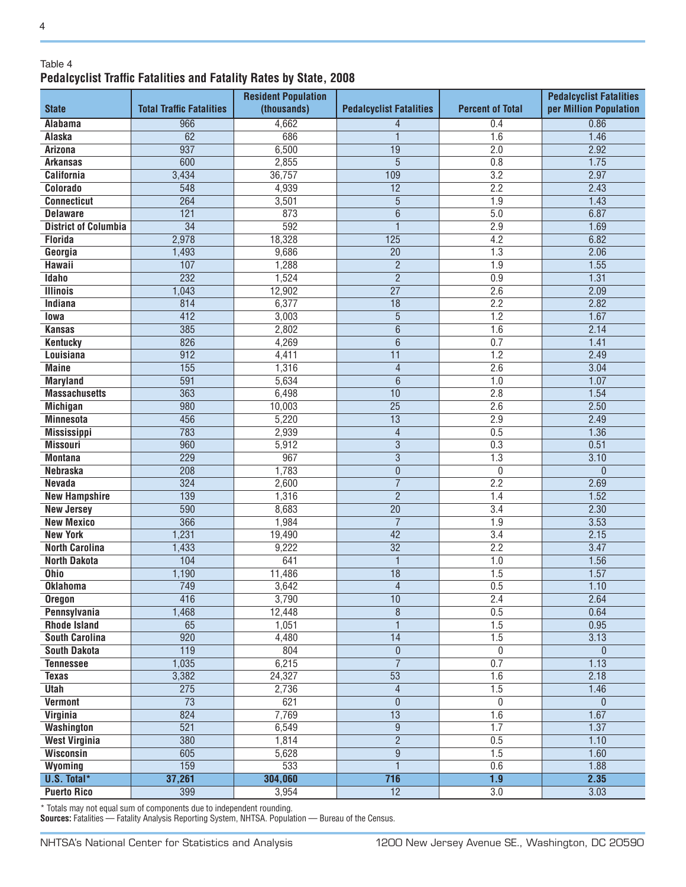### Table 4 **Pedalcyclist Traffic Fatalities and Fatality Rates by State, 2008**

| (thousands)<br>per Million Population<br><b>State</b><br><b>Total Traffic Fatalities</b><br><b>Pedalcyclist Fatalities</b><br><b>Percent of Total</b><br>4,662<br>0.86<br><b>Alabama</b><br>966<br>0.4<br>$\overline{4}$<br><b>Alaska</b><br>62<br>686<br>1<br>1.6<br>1.46<br>937<br>$\overline{19}$<br>2.0<br>6,500<br>2.92<br><b>Arizona</b><br>$\overline{5}$<br>600<br>2,855<br>0.8<br>1.75<br><b>Arkansas</b><br>109<br>$\overline{3.2}$<br>2.97<br><b>California</b><br>3,434<br>36,757<br>$\overline{12}$<br>2.2<br>Colorado<br>548<br>4,939<br>2.43<br>$\overline{5}$<br>264<br>3,501<br>1.9<br>1.43<br><b>Connecticut</b><br>$\overline{121}$<br>873<br>$\overline{6}$<br>6.87<br><b>Delaware</b><br>5.0<br>592<br>$\overline{34}$<br>$\mathbf{1}$<br>2.9<br>1.69<br><b>District of Columbia</b><br>2,978<br>$\overline{125}$<br><b>Florida</b><br>18,328<br>4.2<br>6.82<br>9,686<br>$\overline{20}$<br>2.06<br>Georgia<br>1,493<br>1.3<br>$\overline{2}$<br>107<br>1.55<br><b>Hawaii</b><br>1,288<br>1.9<br>$\overline{2}$<br>232<br><b>Idaho</b><br>1,524<br>0.9<br>1.31<br>$\overline{27}$<br>2.6<br>2.09<br><b>Illinois</b><br>1,043<br>12,902<br>$\overline{18}$<br>Indiana<br>814<br>6,377<br>2.2<br>2.82<br>$\overline{5}$<br>412<br>1.67<br>3,003<br>1.2<br>lowa<br>385<br>$\overline{6}$<br>2.14<br>2,802<br>1.6<br><b>Kansas</b><br>$\overline{6}$<br>826<br>4,269<br>0.7<br>1.41<br><b>Kentucky</b><br>$\overline{912}$<br>2.49<br><b>Louisiana</b><br>$\overline{11}$<br>1.2<br>4,411<br>155<br>1,316<br>$\overline{4}$<br>$\overline{2.6}$<br><b>Maine</b><br>3.04<br>$\overline{6}$<br>591<br>5,634<br>1.0<br>1.07<br><b>Maryland</b><br><b>Massachusetts</b><br>363<br>6,498<br>10<br>2.8<br>1.54<br>$\overline{25}$<br>980<br>10,003<br>2.6<br>2.50<br><b>Michigan</b><br>$\overline{13}$<br>456<br>5,220<br>2.49<br><b>Minnesota</b><br>2.9<br>783<br>$\overline{4}$<br><b>Mississippi</b><br>2,939<br>0.5<br>1.36<br>$\overline{3}$<br>960<br>0.51<br>5,912<br>0.3<br><b>Missouri</b><br>$\overline{3}$<br>967<br><b>Montana</b><br>229<br>1.3<br>3.10<br>1,783<br>$\overline{0}$<br>208<br>0<br><b>Nebraska</b><br>$\theta$<br>$\overline{7}$<br>$\overline{324}$<br>2.2<br>2.69<br>2,600<br><b>Nevada</b><br>$\overline{2}$<br>1.52<br><b>New Hampshire</b><br>139<br>1,316<br>1.4<br>590<br>8,683<br>$\overline{20}$<br>$\overline{3.4}$<br>2.30<br><b>New Jersey</b><br>$\overline{7}$<br>366<br>1,984<br>1.9<br>3.53<br><b>New Mexico</b><br>$\overline{42}$<br>$\overline{3.4}$<br><b>New York</b><br>1,231<br>19,490<br>2.15<br><b>North Carolina</b><br>1,433<br>9,222<br>$\overline{32}$<br>2.2<br>3.47<br>104<br>$\overline{1}$<br><b>North Dakota</b><br>641<br>1.56<br>1.0<br><b>Ohio</b><br>1,190<br>11,486<br>$\overline{18}$<br>1.5<br>1.57<br>749<br>$\overline{4}$<br>0.5<br><b>Oklahoma</b><br>3,642<br>1.10<br>3,790<br>10<br>2.4<br>2.64<br>416<br><b>Oregon</b><br>0.5<br>1,468<br>12,448<br>$\, 8$<br>0.64<br>Pennsylvania<br>$\overline{1}$<br>65<br>1.5<br>0.95<br>1,051<br><b>Rhode Island</b><br>$\overline{920}$<br>$\overline{14}$<br>4,480<br>1.5<br>3.13<br><b>South Carolina</b><br>$\overline{119}$<br><b>South Dakota</b><br>804<br>$\mathbf{0}$<br>0<br>$\theta$<br>$\overline{7}$<br>1,035<br>6,215<br>0.7<br>1.13<br><b>Tennessee</b><br>$\overline{53}$<br>3,382<br>24,327<br>1.6<br>2.18<br><b>Texas</b><br>275<br>$\overline{4}$<br>Utah<br>2,736<br>1.5<br>1.46<br>$\overline{73}$<br><b>Vermont</b><br>$\overline{0}$<br>621<br>$\mathbf{0}$<br>$\mathbf{0}$<br>$\overline{13}$<br>Virginia<br>824<br>7,769<br>1.67<br>1.6<br>$\overline{521}$<br>$\overline{9}$<br>6,549<br>1.7<br>1.37<br><b>Washington</b><br>$\overline{2}$<br><b>West Virginia</b><br>380<br>1,814<br>0.5<br>1.10<br>$\overline{9}$<br><b>Wisconsin</b><br>605<br>5,628<br>1.5<br>1.60<br>159<br>$\overline{1}$<br>533<br>0.6<br>1.88<br>Wyoming<br>$\overline{716}$<br><b>U.S. Total*</b><br>37,261<br>304,060<br>1.9<br>2.35 | <b>Resident Population</b> |  |  | <b>Pedalcyclist Fatalities</b> |
|-------------------------------------------------------------------------------------------------------------------------------------------------------------------------------------------------------------------------------------------------------------------------------------------------------------------------------------------------------------------------------------------------------------------------------------------------------------------------------------------------------------------------------------------------------------------------------------------------------------------------------------------------------------------------------------------------------------------------------------------------------------------------------------------------------------------------------------------------------------------------------------------------------------------------------------------------------------------------------------------------------------------------------------------------------------------------------------------------------------------------------------------------------------------------------------------------------------------------------------------------------------------------------------------------------------------------------------------------------------------------------------------------------------------------------------------------------------------------------------------------------------------------------------------------------------------------------------------------------------------------------------------------------------------------------------------------------------------------------------------------------------------------------------------------------------------------------------------------------------------------------------------------------------------------------------------------------------------------------------------------------------------------------------------------------------------------------------------------------------------------------------------------------------------------------------------------------------------------------------------------------------------------------------------------------------------------------------------------------------------------------------------------------------------------------------------------------------------------------------------------------------------------------------------------------------------------------------------------------------------------------------------------------------------------------------------------------------------------------------------------------------------------------------------------------------------------------------------------------------------------------------------------------------------------------------------------------------------------------------------------------------------------------------------------------------------------------------------------------------------------------------------------------------------------------------------------------------------------------------------------------------------------------------------------------------------------------------------------------------------------------------------------------------------------------------------------------------------------------------------------------------------------------------------------------------------------------------------------------------------------------------------------------------------------------------------------------------------------------------------------------------------------------------------------------------------------------------------------------------------------------------------------------------------------------------------------------------------------|----------------------------|--|--|--------------------------------|
|                                                                                                                                                                                                                                                                                                                                                                                                                                                                                                                                                                                                                                                                                                                                                                                                                                                                                                                                                                                                                                                                                                                                                                                                                                                                                                                                                                                                                                                                                                                                                                                                                                                                                                                                                                                                                                                                                                                                                                                                                                                                                                                                                                                                                                                                                                                                                                                                                                                                                                                                                                                                                                                                                                                                                                                                                                                                                                                                                                                                                                                                                                                                                                                                                                                                                                                                                                                                                                                                                                                                                                                                                                                                                                                                                                                                                                                                                                                                                                         |                            |  |  |                                |
|                                                                                                                                                                                                                                                                                                                                                                                                                                                                                                                                                                                                                                                                                                                                                                                                                                                                                                                                                                                                                                                                                                                                                                                                                                                                                                                                                                                                                                                                                                                                                                                                                                                                                                                                                                                                                                                                                                                                                                                                                                                                                                                                                                                                                                                                                                                                                                                                                                                                                                                                                                                                                                                                                                                                                                                                                                                                                                                                                                                                                                                                                                                                                                                                                                                                                                                                                                                                                                                                                                                                                                                                                                                                                                                                                                                                                                                                                                                                                                         |                            |  |  |                                |
|                                                                                                                                                                                                                                                                                                                                                                                                                                                                                                                                                                                                                                                                                                                                                                                                                                                                                                                                                                                                                                                                                                                                                                                                                                                                                                                                                                                                                                                                                                                                                                                                                                                                                                                                                                                                                                                                                                                                                                                                                                                                                                                                                                                                                                                                                                                                                                                                                                                                                                                                                                                                                                                                                                                                                                                                                                                                                                                                                                                                                                                                                                                                                                                                                                                                                                                                                                                                                                                                                                                                                                                                                                                                                                                                                                                                                                                                                                                                                                         |                            |  |  |                                |
|                                                                                                                                                                                                                                                                                                                                                                                                                                                                                                                                                                                                                                                                                                                                                                                                                                                                                                                                                                                                                                                                                                                                                                                                                                                                                                                                                                                                                                                                                                                                                                                                                                                                                                                                                                                                                                                                                                                                                                                                                                                                                                                                                                                                                                                                                                                                                                                                                                                                                                                                                                                                                                                                                                                                                                                                                                                                                                                                                                                                                                                                                                                                                                                                                                                                                                                                                                                                                                                                                                                                                                                                                                                                                                                                                                                                                                                                                                                                                                         |                            |  |  |                                |
|                                                                                                                                                                                                                                                                                                                                                                                                                                                                                                                                                                                                                                                                                                                                                                                                                                                                                                                                                                                                                                                                                                                                                                                                                                                                                                                                                                                                                                                                                                                                                                                                                                                                                                                                                                                                                                                                                                                                                                                                                                                                                                                                                                                                                                                                                                                                                                                                                                                                                                                                                                                                                                                                                                                                                                                                                                                                                                                                                                                                                                                                                                                                                                                                                                                                                                                                                                                                                                                                                                                                                                                                                                                                                                                                                                                                                                                                                                                                                                         |                            |  |  |                                |
|                                                                                                                                                                                                                                                                                                                                                                                                                                                                                                                                                                                                                                                                                                                                                                                                                                                                                                                                                                                                                                                                                                                                                                                                                                                                                                                                                                                                                                                                                                                                                                                                                                                                                                                                                                                                                                                                                                                                                                                                                                                                                                                                                                                                                                                                                                                                                                                                                                                                                                                                                                                                                                                                                                                                                                                                                                                                                                                                                                                                                                                                                                                                                                                                                                                                                                                                                                                                                                                                                                                                                                                                                                                                                                                                                                                                                                                                                                                                                                         |                            |  |  |                                |
|                                                                                                                                                                                                                                                                                                                                                                                                                                                                                                                                                                                                                                                                                                                                                                                                                                                                                                                                                                                                                                                                                                                                                                                                                                                                                                                                                                                                                                                                                                                                                                                                                                                                                                                                                                                                                                                                                                                                                                                                                                                                                                                                                                                                                                                                                                                                                                                                                                                                                                                                                                                                                                                                                                                                                                                                                                                                                                                                                                                                                                                                                                                                                                                                                                                                                                                                                                                                                                                                                                                                                                                                                                                                                                                                                                                                                                                                                                                                                                         |                            |  |  |                                |
|                                                                                                                                                                                                                                                                                                                                                                                                                                                                                                                                                                                                                                                                                                                                                                                                                                                                                                                                                                                                                                                                                                                                                                                                                                                                                                                                                                                                                                                                                                                                                                                                                                                                                                                                                                                                                                                                                                                                                                                                                                                                                                                                                                                                                                                                                                                                                                                                                                                                                                                                                                                                                                                                                                                                                                                                                                                                                                                                                                                                                                                                                                                                                                                                                                                                                                                                                                                                                                                                                                                                                                                                                                                                                                                                                                                                                                                                                                                                                                         |                            |  |  |                                |
|                                                                                                                                                                                                                                                                                                                                                                                                                                                                                                                                                                                                                                                                                                                                                                                                                                                                                                                                                                                                                                                                                                                                                                                                                                                                                                                                                                                                                                                                                                                                                                                                                                                                                                                                                                                                                                                                                                                                                                                                                                                                                                                                                                                                                                                                                                                                                                                                                                                                                                                                                                                                                                                                                                                                                                                                                                                                                                                                                                                                                                                                                                                                                                                                                                                                                                                                                                                                                                                                                                                                                                                                                                                                                                                                                                                                                                                                                                                                                                         |                            |  |  |                                |
|                                                                                                                                                                                                                                                                                                                                                                                                                                                                                                                                                                                                                                                                                                                                                                                                                                                                                                                                                                                                                                                                                                                                                                                                                                                                                                                                                                                                                                                                                                                                                                                                                                                                                                                                                                                                                                                                                                                                                                                                                                                                                                                                                                                                                                                                                                                                                                                                                                                                                                                                                                                                                                                                                                                                                                                                                                                                                                                                                                                                                                                                                                                                                                                                                                                                                                                                                                                                                                                                                                                                                                                                                                                                                                                                                                                                                                                                                                                                                                         |                            |  |  |                                |
|                                                                                                                                                                                                                                                                                                                                                                                                                                                                                                                                                                                                                                                                                                                                                                                                                                                                                                                                                                                                                                                                                                                                                                                                                                                                                                                                                                                                                                                                                                                                                                                                                                                                                                                                                                                                                                                                                                                                                                                                                                                                                                                                                                                                                                                                                                                                                                                                                                                                                                                                                                                                                                                                                                                                                                                                                                                                                                                                                                                                                                                                                                                                                                                                                                                                                                                                                                                                                                                                                                                                                                                                                                                                                                                                                                                                                                                                                                                                                                         |                            |  |  |                                |
|                                                                                                                                                                                                                                                                                                                                                                                                                                                                                                                                                                                                                                                                                                                                                                                                                                                                                                                                                                                                                                                                                                                                                                                                                                                                                                                                                                                                                                                                                                                                                                                                                                                                                                                                                                                                                                                                                                                                                                                                                                                                                                                                                                                                                                                                                                                                                                                                                                                                                                                                                                                                                                                                                                                                                                                                                                                                                                                                                                                                                                                                                                                                                                                                                                                                                                                                                                                                                                                                                                                                                                                                                                                                                                                                                                                                                                                                                                                                                                         |                            |  |  |                                |
|                                                                                                                                                                                                                                                                                                                                                                                                                                                                                                                                                                                                                                                                                                                                                                                                                                                                                                                                                                                                                                                                                                                                                                                                                                                                                                                                                                                                                                                                                                                                                                                                                                                                                                                                                                                                                                                                                                                                                                                                                                                                                                                                                                                                                                                                                                                                                                                                                                                                                                                                                                                                                                                                                                                                                                                                                                                                                                                                                                                                                                                                                                                                                                                                                                                                                                                                                                                                                                                                                                                                                                                                                                                                                                                                                                                                                                                                                                                                                                         |                            |  |  |                                |
|                                                                                                                                                                                                                                                                                                                                                                                                                                                                                                                                                                                                                                                                                                                                                                                                                                                                                                                                                                                                                                                                                                                                                                                                                                                                                                                                                                                                                                                                                                                                                                                                                                                                                                                                                                                                                                                                                                                                                                                                                                                                                                                                                                                                                                                                                                                                                                                                                                                                                                                                                                                                                                                                                                                                                                                                                                                                                                                                                                                                                                                                                                                                                                                                                                                                                                                                                                                                                                                                                                                                                                                                                                                                                                                                                                                                                                                                                                                                                                         |                            |  |  |                                |
|                                                                                                                                                                                                                                                                                                                                                                                                                                                                                                                                                                                                                                                                                                                                                                                                                                                                                                                                                                                                                                                                                                                                                                                                                                                                                                                                                                                                                                                                                                                                                                                                                                                                                                                                                                                                                                                                                                                                                                                                                                                                                                                                                                                                                                                                                                                                                                                                                                                                                                                                                                                                                                                                                                                                                                                                                                                                                                                                                                                                                                                                                                                                                                                                                                                                                                                                                                                                                                                                                                                                                                                                                                                                                                                                                                                                                                                                                                                                                                         |                            |  |  |                                |
|                                                                                                                                                                                                                                                                                                                                                                                                                                                                                                                                                                                                                                                                                                                                                                                                                                                                                                                                                                                                                                                                                                                                                                                                                                                                                                                                                                                                                                                                                                                                                                                                                                                                                                                                                                                                                                                                                                                                                                                                                                                                                                                                                                                                                                                                                                                                                                                                                                                                                                                                                                                                                                                                                                                                                                                                                                                                                                                                                                                                                                                                                                                                                                                                                                                                                                                                                                                                                                                                                                                                                                                                                                                                                                                                                                                                                                                                                                                                                                         |                            |  |  |                                |
|                                                                                                                                                                                                                                                                                                                                                                                                                                                                                                                                                                                                                                                                                                                                                                                                                                                                                                                                                                                                                                                                                                                                                                                                                                                                                                                                                                                                                                                                                                                                                                                                                                                                                                                                                                                                                                                                                                                                                                                                                                                                                                                                                                                                                                                                                                                                                                                                                                                                                                                                                                                                                                                                                                                                                                                                                                                                                                                                                                                                                                                                                                                                                                                                                                                                                                                                                                                                                                                                                                                                                                                                                                                                                                                                                                                                                                                                                                                                                                         |                            |  |  |                                |
|                                                                                                                                                                                                                                                                                                                                                                                                                                                                                                                                                                                                                                                                                                                                                                                                                                                                                                                                                                                                                                                                                                                                                                                                                                                                                                                                                                                                                                                                                                                                                                                                                                                                                                                                                                                                                                                                                                                                                                                                                                                                                                                                                                                                                                                                                                                                                                                                                                                                                                                                                                                                                                                                                                                                                                                                                                                                                                                                                                                                                                                                                                                                                                                                                                                                                                                                                                                                                                                                                                                                                                                                                                                                                                                                                                                                                                                                                                                                                                         |                            |  |  |                                |
|                                                                                                                                                                                                                                                                                                                                                                                                                                                                                                                                                                                                                                                                                                                                                                                                                                                                                                                                                                                                                                                                                                                                                                                                                                                                                                                                                                                                                                                                                                                                                                                                                                                                                                                                                                                                                                                                                                                                                                                                                                                                                                                                                                                                                                                                                                                                                                                                                                                                                                                                                                                                                                                                                                                                                                                                                                                                                                                                                                                                                                                                                                                                                                                                                                                                                                                                                                                                                                                                                                                                                                                                                                                                                                                                                                                                                                                                                                                                                                         |                            |  |  |                                |
|                                                                                                                                                                                                                                                                                                                                                                                                                                                                                                                                                                                                                                                                                                                                                                                                                                                                                                                                                                                                                                                                                                                                                                                                                                                                                                                                                                                                                                                                                                                                                                                                                                                                                                                                                                                                                                                                                                                                                                                                                                                                                                                                                                                                                                                                                                                                                                                                                                                                                                                                                                                                                                                                                                                                                                                                                                                                                                                                                                                                                                                                                                                                                                                                                                                                                                                                                                                                                                                                                                                                                                                                                                                                                                                                                                                                                                                                                                                                                                         |                            |  |  |                                |
|                                                                                                                                                                                                                                                                                                                                                                                                                                                                                                                                                                                                                                                                                                                                                                                                                                                                                                                                                                                                                                                                                                                                                                                                                                                                                                                                                                                                                                                                                                                                                                                                                                                                                                                                                                                                                                                                                                                                                                                                                                                                                                                                                                                                                                                                                                                                                                                                                                                                                                                                                                                                                                                                                                                                                                                                                                                                                                                                                                                                                                                                                                                                                                                                                                                                                                                                                                                                                                                                                                                                                                                                                                                                                                                                                                                                                                                                                                                                                                         |                            |  |  |                                |
|                                                                                                                                                                                                                                                                                                                                                                                                                                                                                                                                                                                                                                                                                                                                                                                                                                                                                                                                                                                                                                                                                                                                                                                                                                                                                                                                                                                                                                                                                                                                                                                                                                                                                                                                                                                                                                                                                                                                                                                                                                                                                                                                                                                                                                                                                                                                                                                                                                                                                                                                                                                                                                                                                                                                                                                                                                                                                                                                                                                                                                                                                                                                                                                                                                                                                                                                                                                                                                                                                                                                                                                                                                                                                                                                                                                                                                                                                                                                                                         |                            |  |  |                                |
|                                                                                                                                                                                                                                                                                                                                                                                                                                                                                                                                                                                                                                                                                                                                                                                                                                                                                                                                                                                                                                                                                                                                                                                                                                                                                                                                                                                                                                                                                                                                                                                                                                                                                                                                                                                                                                                                                                                                                                                                                                                                                                                                                                                                                                                                                                                                                                                                                                                                                                                                                                                                                                                                                                                                                                                                                                                                                                                                                                                                                                                                                                                                                                                                                                                                                                                                                                                                                                                                                                                                                                                                                                                                                                                                                                                                                                                                                                                                                                         |                            |  |  |                                |
|                                                                                                                                                                                                                                                                                                                                                                                                                                                                                                                                                                                                                                                                                                                                                                                                                                                                                                                                                                                                                                                                                                                                                                                                                                                                                                                                                                                                                                                                                                                                                                                                                                                                                                                                                                                                                                                                                                                                                                                                                                                                                                                                                                                                                                                                                                                                                                                                                                                                                                                                                                                                                                                                                                                                                                                                                                                                                                                                                                                                                                                                                                                                                                                                                                                                                                                                                                                                                                                                                                                                                                                                                                                                                                                                                                                                                                                                                                                                                                         |                            |  |  |                                |
|                                                                                                                                                                                                                                                                                                                                                                                                                                                                                                                                                                                                                                                                                                                                                                                                                                                                                                                                                                                                                                                                                                                                                                                                                                                                                                                                                                                                                                                                                                                                                                                                                                                                                                                                                                                                                                                                                                                                                                                                                                                                                                                                                                                                                                                                                                                                                                                                                                                                                                                                                                                                                                                                                                                                                                                                                                                                                                                                                                                                                                                                                                                                                                                                                                                                                                                                                                                                                                                                                                                                                                                                                                                                                                                                                                                                                                                                                                                                                                         |                            |  |  |                                |
|                                                                                                                                                                                                                                                                                                                                                                                                                                                                                                                                                                                                                                                                                                                                                                                                                                                                                                                                                                                                                                                                                                                                                                                                                                                                                                                                                                                                                                                                                                                                                                                                                                                                                                                                                                                                                                                                                                                                                                                                                                                                                                                                                                                                                                                                                                                                                                                                                                                                                                                                                                                                                                                                                                                                                                                                                                                                                                                                                                                                                                                                                                                                                                                                                                                                                                                                                                                                                                                                                                                                                                                                                                                                                                                                                                                                                                                                                                                                                                         |                            |  |  |                                |
|                                                                                                                                                                                                                                                                                                                                                                                                                                                                                                                                                                                                                                                                                                                                                                                                                                                                                                                                                                                                                                                                                                                                                                                                                                                                                                                                                                                                                                                                                                                                                                                                                                                                                                                                                                                                                                                                                                                                                                                                                                                                                                                                                                                                                                                                                                                                                                                                                                                                                                                                                                                                                                                                                                                                                                                                                                                                                                                                                                                                                                                                                                                                                                                                                                                                                                                                                                                                                                                                                                                                                                                                                                                                                                                                                                                                                                                                                                                                                                         |                            |  |  |                                |
|                                                                                                                                                                                                                                                                                                                                                                                                                                                                                                                                                                                                                                                                                                                                                                                                                                                                                                                                                                                                                                                                                                                                                                                                                                                                                                                                                                                                                                                                                                                                                                                                                                                                                                                                                                                                                                                                                                                                                                                                                                                                                                                                                                                                                                                                                                                                                                                                                                                                                                                                                                                                                                                                                                                                                                                                                                                                                                                                                                                                                                                                                                                                                                                                                                                                                                                                                                                                                                                                                                                                                                                                                                                                                                                                                                                                                                                                                                                                                                         |                            |  |  |                                |
|                                                                                                                                                                                                                                                                                                                                                                                                                                                                                                                                                                                                                                                                                                                                                                                                                                                                                                                                                                                                                                                                                                                                                                                                                                                                                                                                                                                                                                                                                                                                                                                                                                                                                                                                                                                                                                                                                                                                                                                                                                                                                                                                                                                                                                                                                                                                                                                                                                                                                                                                                                                                                                                                                                                                                                                                                                                                                                                                                                                                                                                                                                                                                                                                                                                                                                                                                                                                                                                                                                                                                                                                                                                                                                                                                                                                                                                                                                                                                                         |                            |  |  |                                |
|                                                                                                                                                                                                                                                                                                                                                                                                                                                                                                                                                                                                                                                                                                                                                                                                                                                                                                                                                                                                                                                                                                                                                                                                                                                                                                                                                                                                                                                                                                                                                                                                                                                                                                                                                                                                                                                                                                                                                                                                                                                                                                                                                                                                                                                                                                                                                                                                                                                                                                                                                                                                                                                                                                                                                                                                                                                                                                                                                                                                                                                                                                                                                                                                                                                                                                                                                                                                                                                                                                                                                                                                                                                                                                                                                                                                                                                                                                                                                                         |                            |  |  |                                |
|                                                                                                                                                                                                                                                                                                                                                                                                                                                                                                                                                                                                                                                                                                                                                                                                                                                                                                                                                                                                                                                                                                                                                                                                                                                                                                                                                                                                                                                                                                                                                                                                                                                                                                                                                                                                                                                                                                                                                                                                                                                                                                                                                                                                                                                                                                                                                                                                                                                                                                                                                                                                                                                                                                                                                                                                                                                                                                                                                                                                                                                                                                                                                                                                                                                                                                                                                                                                                                                                                                                                                                                                                                                                                                                                                                                                                                                                                                                                                                         |                            |  |  |                                |
|                                                                                                                                                                                                                                                                                                                                                                                                                                                                                                                                                                                                                                                                                                                                                                                                                                                                                                                                                                                                                                                                                                                                                                                                                                                                                                                                                                                                                                                                                                                                                                                                                                                                                                                                                                                                                                                                                                                                                                                                                                                                                                                                                                                                                                                                                                                                                                                                                                                                                                                                                                                                                                                                                                                                                                                                                                                                                                                                                                                                                                                                                                                                                                                                                                                                                                                                                                                                                                                                                                                                                                                                                                                                                                                                                                                                                                                                                                                                                                         |                            |  |  |                                |
|                                                                                                                                                                                                                                                                                                                                                                                                                                                                                                                                                                                                                                                                                                                                                                                                                                                                                                                                                                                                                                                                                                                                                                                                                                                                                                                                                                                                                                                                                                                                                                                                                                                                                                                                                                                                                                                                                                                                                                                                                                                                                                                                                                                                                                                                                                                                                                                                                                                                                                                                                                                                                                                                                                                                                                                                                                                                                                                                                                                                                                                                                                                                                                                                                                                                                                                                                                                                                                                                                                                                                                                                                                                                                                                                                                                                                                                                                                                                                                         |                            |  |  |                                |
|                                                                                                                                                                                                                                                                                                                                                                                                                                                                                                                                                                                                                                                                                                                                                                                                                                                                                                                                                                                                                                                                                                                                                                                                                                                                                                                                                                                                                                                                                                                                                                                                                                                                                                                                                                                                                                                                                                                                                                                                                                                                                                                                                                                                                                                                                                                                                                                                                                                                                                                                                                                                                                                                                                                                                                                                                                                                                                                                                                                                                                                                                                                                                                                                                                                                                                                                                                                                                                                                                                                                                                                                                                                                                                                                                                                                                                                                                                                                                                         |                            |  |  |                                |
|                                                                                                                                                                                                                                                                                                                                                                                                                                                                                                                                                                                                                                                                                                                                                                                                                                                                                                                                                                                                                                                                                                                                                                                                                                                                                                                                                                                                                                                                                                                                                                                                                                                                                                                                                                                                                                                                                                                                                                                                                                                                                                                                                                                                                                                                                                                                                                                                                                                                                                                                                                                                                                                                                                                                                                                                                                                                                                                                                                                                                                                                                                                                                                                                                                                                                                                                                                                                                                                                                                                                                                                                                                                                                                                                                                                                                                                                                                                                                                         |                            |  |  |                                |
|                                                                                                                                                                                                                                                                                                                                                                                                                                                                                                                                                                                                                                                                                                                                                                                                                                                                                                                                                                                                                                                                                                                                                                                                                                                                                                                                                                                                                                                                                                                                                                                                                                                                                                                                                                                                                                                                                                                                                                                                                                                                                                                                                                                                                                                                                                                                                                                                                                                                                                                                                                                                                                                                                                                                                                                                                                                                                                                                                                                                                                                                                                                                                                                                                                                                                                                                                                                                                                                                                                                                                                                                                                                                                                                                                                                                                                                                                                                                                                         |                            |  |  |                                |
|                                                                                                                                                                                                                                                                                                                                                                                                                                                                                                                                                                                                                                                                                                                                                                                                                                                                                                                                                                                                                                                                                                                                                                                                                                                                                                                                                                                                                                                                                                                                                                                                                                                                                                                                                                                                                                                                                                                                                                                                                                                                                                                                                                                                                                                                                                                                                                                                                                                                                                                                                                                                                                                                                                                                                                                                                                                                                                                                                                                                                                                                                                                                                                                                                                                                                                                                                                                                                                                                                                                                                                                                                                                                                                                                                                                                                                                                                                                                                                         |                            |  |  |                                |
|                                                                                                                                                                                                                                                                                                                                                                                                                                                                                                                                                                                                                                                                                                                                                                                                                                                                                                                                                                                                                                                                                                                                                                                                                                                                                                                                                                                                                                                                                                                                                                                                                                                                                                                                                                                                                                                                                                                                                                                                                                                                                                                                                                                                                                                                                                                                                                                                                                                                                                                                                                                                                                                                                                                                                                                                                                                                                                                                                                                                                                                                                                                                                                                                                                                                                                                                                                                                                                                                                                                                                                                                                                                                                                                                                                                                                                                                                                                                                                         |                            |  |  |                                |
|                                                                                                                                                                                                                                                                                                                                                                                                                                                                                                                                                                                                                                                                                                                                                                                                                                                                                                                                                                                                                                                                                                                                                                                                                                                                                                                                                                                                                                                                                                                                                                                                                                                                                                                                                                                                                                                                                                                                                                                                                                                                                                                                                                                                                                                                                                                                                                                                                                                                                                                                                                                                                                                                                                                                                                                                                                                                                                                                                                                                                                                                                                                                                                                                                                                                                                                                                                                                                                                                                                                                                                                                                                                                                                                                                                                                                                                                                                                                                                         |                            |  |  |                                |
|                                                                                                                                                                                                                                                                                                                                                                                                                                                                                                                                                                                                                                                                                                                                                                                                                                                                                                                                                                                                                                                                                                                                                                                                                                                                                                                                                                                                                                                                                                                                                                                                                                                                                                                                                                                                                                                                                                                                                                                                                                                                                                                                                                                                                                                                                                                                                                                                                                                                                                                                                                                                                                                                                                                                                                                                                                                                                                                                                                                                                                                                                                                                                                                                                                                                                                                                                                                                                                                                                                                                                                                                                                                                                                                                                                                                                                                                                                                                                                         |                            |  |  |                                |
|                                                                                                                                                                                                                                                                                                                                                                                                                                                                                                                                                                                                                                                                                                                                                                                                                                                                                                                                                                                                                                                                                                                                                                                                                                                                                                                                                                                                                                                                                                                                                                                                                                                                                                                                                                                                                                                                                                                                                                                                                                                                                                                                                                                                                                                                                                                                                                                                                                                                                                                                                                                                                                                                                                                                                                                                                                                                                                                                                                                                                                                                                                                                                                                                                                                                                                                                                                                                                                                                                                                                                                                                                                                                                                                                                                                                                                                                                                                                                                         |                            |  |  |                                |
|                                                                                                                                                                                                                                                                                                                                                                                                                                                                                                                                                                                                                                                                                                                                                                                                                                                                                                                                                                                                                                                                                                                                                                                                                                                                                                                                                                                                                                                                                                                                                                                                                                                                                                                                                                                                                                                                                                                                                                                                                                                                                                                                                                                                                                                                                                                                                                                                                                                                                                                                                                                                                                                                                                                                                                                                                                                                                                                                                                                                                                                                                                                                                                                                                                                                                                                                                                                                                                                                                                                                                                                                                                                                                                                                                                                                                                                                                                                                                                         |                            |  |  |                                |
|                                                                                                                                                                                                                                                                                                                                                                                                                                                                                                                                                                                                                                                                                                                                                                                                                                                                                                                                                                                                                                                                                                                                                                                                                                                                                                                                                                                                                                                                                                                                                                                                                                                                                                                                                                                                                                                                                                                                                                                                                                                                                                                                                                                                                                                                                                                                                                                                                                                                                                                                                                                                                                                                                                                                                                                                                                                                                                                                                                                                                                                                                                                                                                                                                                                                                                                                                                                                                                                                                                                                                                                                                                                                                                                                                                                                                                                                                                                                                                         |                            |  |  |                                |
|                                                                                                                                                                                                                                                                                                                                                                                                                                                                                                                                                                                                                                                                                                                                                                                                                                                                                                                                                                                                                                                                                                                                                                                                                                                                                                                                                                                                                                                                                                                                                                                                                                                                                                                                                                                                                                                                                                                                                                                                                                                                                                                                                                                                                                                                                                                                                                                                                                                                                                                                                                                                                                                                                                                                                                                                                                                                                                                                                                                                                                                                                                                                                                                                                                                                                                                                                                                                                                                                                                                                                                                                                                                                                                                                                                                                                                                                                                                                                                         |                            |  |  |                                |
|                                                                                                                                                                                                                                                                                                                                                                                                                                                                                                                                                                                                                                                                                                                                                                                                                                                                                                                                                                                                                                                                                                                                                                                                                                                                                                                                                                                                                                                                                                                                                                                                                                                                                                                                                                                                                                                                                                                                                                                                                                                                                                                                                                                                                                                                                                                                                                                                                                                                                                                                                                                                                                                                                                                                                                                                                                                                                                                                                                                                                                                                                                                                                                                                                                                                                                                                                                                                                                                                                                                                                                                                                                                                                                                                                                                                                                                                                                                                                                         |                            |  |  |                                |
|                                                                                                                                                                                                                                                                                                                                                                                                                                                                                                                                                                                                                                                                                                                                                                                                                                                                                                                                                                                                                                                                                                                                                                                                                                                                                                                                                                                                                                                                                                                                                                                                                                                                                                                                                                                                                                                                                                                                                                                                                                                                                                                                                                                                                                                                                                                                                                                                                                                                                                                                                                                                                                                                                                                                                                                                                                                                                                                                                                                                                                                                                                                                                                                                                                                                                                                                                                                                                                                                                                                                                                                                                                                                                                                                                                                                                                                                                                                                                                         |                            |  |  |                                |
|                                                                                                                                                                                                                                                                                                                                                                                                                                                                                                                                                                                                                                                                                                                                                                                                                                                                                                                                                                                                                                                                                                                                                                                                                                                                                                                                                                                                                                                                                                                                                                                                                                                                                                                                                                                                                                                                                                                                                                                                                                                                                                                                                                                                                                                                                                                                                                                                                                                                                                                                                                                                                                                                                                                                                                                                                                                                                                                                                                                                                                                                                                                                                                                                                                                                                                                                                                                                                                                                                                                                                                                                                                                                                                                                                                                                                                                                                                                                                                         |                            |  |  |                                |
|                                                                                                                                                                                                                                                                                                                                                                                                                                                                                                                                                                                                                                                                                                                                                                                                                                                                                                                                                                                                                                                                                                                                                                                                                                                                                                                                                                                                                                                                                                                                                                                                                                                                                                                                                                                                                                                                                                                                                                                                                                                                                                                                                                                                                                                                                                                                                                                                                                                                                                                                                                                                                                                                                                                                                                                                                                                                                                                                                                                                                                                                                                                                                                                                                                                                                                                                                                                                                                                                                                                                                                                                                                                                                                                                                                                                                                                                                                                                                                         |                            |  |  |                                |
|                                                                                                                                                                                                                                                                                                                                                                                                                                                                                                                                                                                                                                                                                                                                                                                                                                                                                                                                                                                                                                                                                                                                                                                                                                                                                                                                                                                                                                                                                                                                                                                                                                                                                                                                                                                                                                                                                                                                                                                                                                                                                                                                                                                                                                                                                                                                                                                                                                                                                                                                                                                                                                                                                                                                                                                                                                                                                                                                                                                                                                                                                                                                                                                                                                                                                                                                                                                                                                                                                                                                                                                                                                                                                                                                                                                                                                                                                                                                                                         |                            |  |  |                                |
|                                                                                                                                                                                                                                                                                                                                                                                                                                                                                                                                                                                                                                                                                                                                                                                                                                                                                                                                                                                                                                                                                                                                                                                                                                                                                                                                                                                                                                                                                                                                                                                                                                                                                                                                                                                                                                                                                                                                                                                                                                                                                                                                                                                                                                                                                                                                                                                                                                                                                                                                                                                                                                                                                                                                                                                                                                                                                                                                                                                                                                                                                                                                                                                                                                                                                                                                                                                                                                                                                                                                                                                                                                                                                                                                                                                                                                                                                                                                                                         |                            |  |  |                                |
|                                                                                                                                                                                                                                                                                                                                                                                                                                                                                                                                                                                                                                                                                                                                                                                                                                                                                                                                                                                                                                                                                                                                                                                                                                                                                                                                                                                                                                                                                                                                                                                                                                                                                                                                                                                                                                                                                                                                                                                                                                                                                                                                                                                                                                                                                                                                                                                                                                                                                                                                                                                                                                                                                                                                                                                                                                                                                                                                                                                                                                                                                                                                                                                                                                                                                                                                                                                                                                                                                                                                                                                                                                                                                                                                                                                                                                                                                                                                                                         |                            |  |  |                                |
|                                                                                                                                                                                                                                                                                                                                                                                                                                                                                                                                                                                                                                                                                                                                                                                                                                                                                                                                                                                                                                                                                                                                                                                                                                                                                                                                                                                                                                                                                                                                                                                                                                                                                                                                                                                                                                                                                                                                                                                                                                                                                                                                                                                                                                                                                                                                                                                                                                                                                                                                                                                                                                                                                                                                                                                                                                                                                                                                                                                                                                                                                                                                                                                                                                                                                                                                                                                                                                                                                                                                                                                                                                                                                                                                                                                                                                                                                                                                                                         |                            |  |  |                                |
| $\overline{12}$<br><b>Puerto Rico</b><br>399<br>3,954<br>3.03<br>3.0                                                                                                                                                                                                                                                                                                                                                                                                                                                                                                                                                                                                                                                                                                                                                                                                                                                                                                                                                                                                                                                                                                                                                                                                                                                                                                                                                                                                                                                                                                                                                                                                                                                                                                                                                                                                                                                                                                                                                                                                                                                                                                                                                                                                                                                                                                                                                                                                                                                                                                                                                                                                                                                                                                                                                                                                                                                                                                                                                                                                                                                                                                                                                                                                                                                                                                                                                                                                                                                                                                                                                                                                                                                                                                                                                                                                                                                                                                    |                            |  |  |                                |

\* Totals may not equal sum of components due to independent rounding.

**Sources:** Fatalities — Fatality Analysis Reporting System, NHTSA. Population — Bureau of the Census.